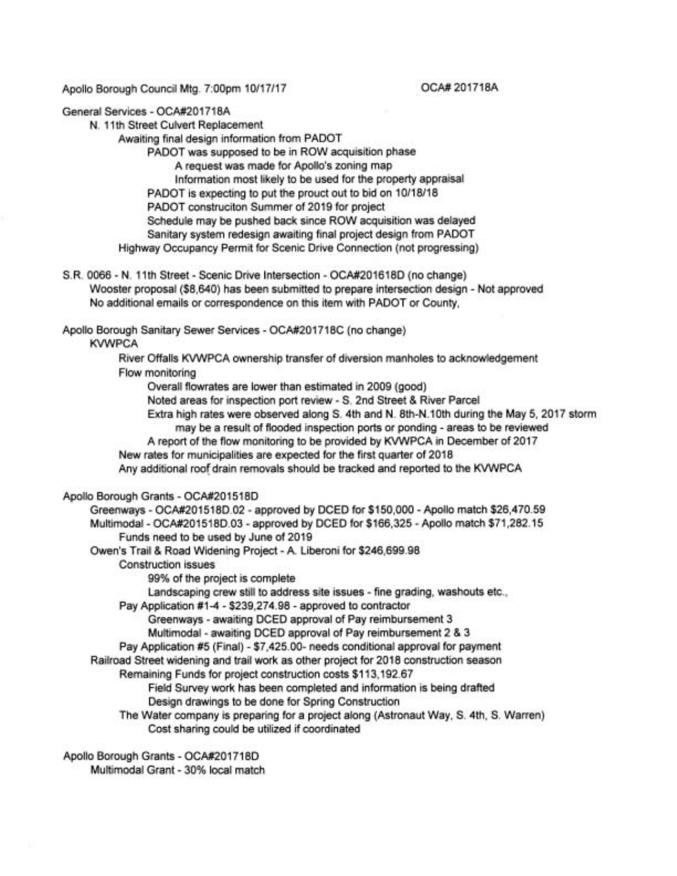Apollo Borough Council Mtg. 7:00pm 10/17/17

OCA# 201718A

General Services - OCA#201718A

N. 11th Street Culvert Replacement

Awaiting final design information from PADOT

PADOT was supposed to be in ROW acquisition phase

A request was made for Apollo's zoning map

Information most likely to be used for the property appraisal

PADOT is expecting to put the prouct out to bid on 10/18/18

PADOT construciton Summer of 2019 for project

Schedule may be pushed back since ROW acquisition was delayed Sanitary system redesign awaiting final project design from PADOT

Highway Occupancy Permit for Scenic Drive Connection (not progressing)

S.R. 0066 - N. 11th Street - Scenic Drive Intersection - OCA#201618D (no change) Wooster proposal (\$8,640) has been submitted to prepare intersection design - Not approved No additional emails or correspondence on this item with PADOT or County,

Apollo Borough Sanitary Sewer Services - OCA#201718C (no change)

**KVWPCA** 

River Offalls KVWPCA ownership transfer of diversion manholes to acknowledgement Flow monitoring

Overall flowrates are lower than estimated in 2009 (good)

Noted areas for inspection port review - S. 2nd Street & River Parcel

- Extra high rates were observed along S. 4th and N. 8th-N.1Oth during the May 5, 2017 storm may be a result of flooded inspection ports or ponding - areas to be reviewed
- A report of the flow monitoring to be provided by KVWPCA in December of 2017

New rates for municipalities are expected for the first quarter of 2018

Any additional roof drain removals should be tracked and reported to the KVWPCA

## Apollo Borough Grants - OCA#201518D

Greenways - OCA#201518D.02 - approved by DCED for \$150,000 - Apollo match \$26,470.59 Multimodal- OCA#201518D.03 - approved by DCED for \$166,325 - Apollo match \$71 ,282.15 Funds need to be used by June of 2019

- Owen's Trail & Road Widening Project A. Liberoni for \$246,699.98
	- Construction issues

99% of the project is complete

Landscaping crew still to address site issues - fine grading, washouts etc.,

Pay Application #1-4 - \$239,274.98 - approved to contractor

Greenways - awaiting DCED approval of Pay reimbursement 3

Multimodal - awaiting DCED approval of Pay reimbursement 2 & 3

Pay Application #5 (Final) - \$7,425.00- needs conditional approval for payment

Railroad Street widening and trail work as other project for 2018 construction season

Remaining Funds for project construction costs \$113,192.67

Field Survey work has been completed and information is being drafted Design drawings to be done for Spring Construction

The Water company is preparing for a project along (Astronaut Way, S. 4th, S. Warren) Cost sharing could be utilized if coordinated

Apollo Borough Grants - OCA#201718D Multimodal Grant - 30% local match